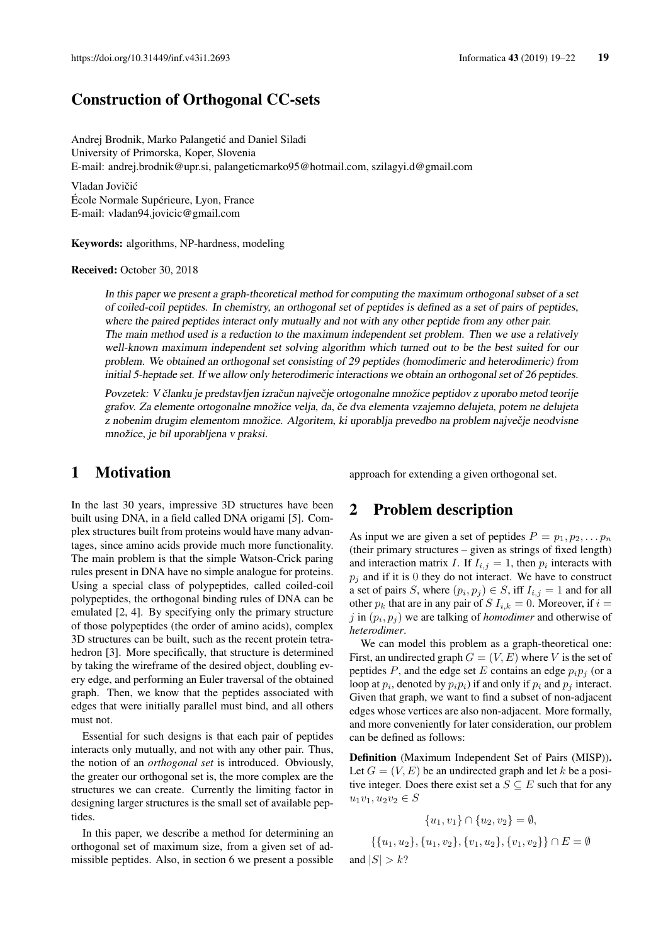# Construction of Orthogonal CC-sets

Andrej Brodnik, Marko Palangetić and Daniel Silađi University of Primorska, Koper, Slovenia E-mail: andrej.brodnik@upr.si, palangeticmarko95@hotmail.com, szilagyi.d@gmail.com

Vladan Jovičić École Normale Supérieure, Lyon, France E-mail: vladan94.jovicic@gmail.com

Keywords: algorithms, NP-hardness, modeling

Received: October 30, 2018

In this paper we present a graph-theoretical method for computing the maximum orthogonal subset of a set of coiled-coil peptides. In chemistry, an orthogonal set of peptides is defined as a set of pairs of peptides, where the paired peptides interact only mutually and not with any other peptide from any other pair. The main method used is a reduction to the maximum independent set problem. Then we use a relatively well-known maximum independent set solving algorithm which turned out to be the best suited for our problem. We obtained an orthogonal set consisting of 29 peptides (homodimeric and heterodimeric) from initial 5-heptade set. If we allow only heterodimeric interactions we obtain an orthogonal set of 26 peptides.

Povzetek: V članku je predstavljen izračun največje ortogonalne množice peptidov z uporabo metod teorije grafov. Za elemente ortogonalne množice velja, da, če dva elementa vzajemno delujeta, potem ne delujeta z nobenim drugim elementom množice. Algoritem, ki uporablja prevedbo na problem največje neodvisne množice, je bil uporabljena v praksi.

an

### 1 Motivation

In the last 30 years, impressive 3D structures have been built using DNA, in a field called DNA origami [5]. Complex structures built from proteins would have many advantages, since amino acids provide much more functionality. The main problem is that the simple Watson-Crick paring rules present in DNA have no simple analogue for proteins. Using a special class of polypeptides, called coiled-coil polypeptides, the orthogonal binding rules of DNA can be emulated [2, 4]. By specifying only the primary structure of those polypeptides (the order of amino acids), complex 3D structures can be built, such as the recent protein tetrahedron [3]. More specifically, that structure is determined by taking the wireframe of the desired object, doubling every edge, and performing an Euler traversal of the obtained graph. Then, we know that the peptides associated with edges that were initially parallel must bind, and all others must not.

Essential for such designs is that each pair of peptides interacts only mutually, and not with any other pair. Thus, the notion of an *orthogonal set* is introduced. Obviously, the greater our orthogonal set is, the more complex are the structures we can create. Currently the limiting factor in designing larger structures is the small set of available peptides.

In this paper, we describe a method for determining an orthogonal set of maximum size, from a given set of admissible peptides. Also, in section 6 we present a possible approach for extending a given orthogonal set.

### 2 Problem description

As input we are given a set of peptides  $P = p_1, p_2, \ldots, p_n$ (their primary structures – given as strings of fixed length) and interaction matrix I. If  $I_{i,j} = 1$ , then  $p_i$  interacts with  $p_j$  and if it is 0 they do not interact. We have to construct a set of pairs S, where  $(p_i, p_j) \in S$ , iff  $I_{i,j} = 1$  and for all other  $p_k$  that are in any pair of S  $I_{i,k} = 0$ . Moreover, if  $i =$  $j$  in  $(p_i, p_j)$  we are talking of *homodimer* and otherwise of *heterodimer*.

We can model this problem as a graph-theoretical one: First, an undirected graph  $G = (V, E)$  where V is the set of peptides P, and the edge set E contains an edge  $p_i p_j$  (or a loop at  $p_i$ , denoted by  $p_i p_i$ ) if and only if  $p_i$  and  $p_j$  interact. Given that graph, we want to find a subset of non-adjacent edges whose vertices are also non-adjacent. More formally, and more conveniently for later consideration, our problem can be defined as follows:

Definition (Maximum Independent Set of Pairs (MISP)). Let  $G = (V, E)$  be an undirected graph and let k be a positive integer. Does there exist set a  $S \subseteq E$  such that for any  $u_1v_1, u_2v_2 \in S$ 

$$
\{u_1, v_1\} \cap \{u_2, v_2\} = \emptyset,
$$
  

$$
\{\{u_1, u_2\}, \{u_1, v_2\}, \{v_1, u_2\}, \{v_1, v_2\}\} \cap E = \emptyset
$$
  

$$
d |S| > k
$$
?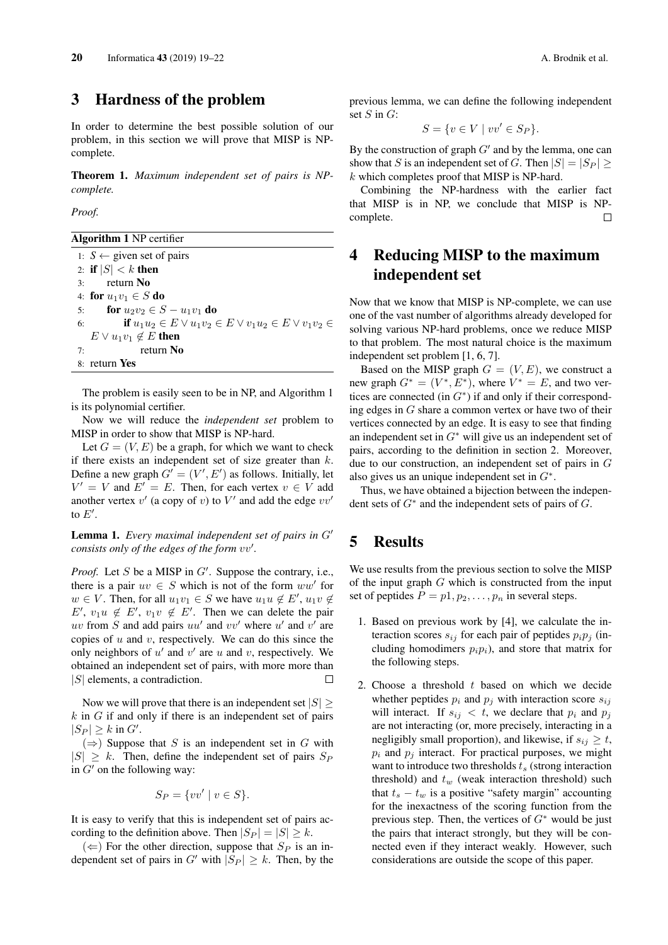# 3 Hardness of the problem

In order to determine the best possible solution of our problem, in this section we will prove that MISP is NPcomplete.

Theorem 1. *Maximum independent set of pairs is NPcomplete.*

*Proof.*

Algorithm 1 NP certifier

1:  $S \leftarrow$  given set of pairs 2: if  $|S| < k$  then 3: return No 4: for  $u_1v_1 \in S$  do 5: **for**  $u_2v_2 \in S - u_1v_1$  **do** 6: **if**  $u_1u_2 \in E \vee u_1v_2 \in E \vee v_1u_2 \in E \vee v_1v_2 \in E$  $E \vee u_1v_1 \notin E$  then 7: return No 8: return Yes

The problem is easily seen to be in NP, and Algorithm 1 is its polynomial certifier.

Now we will reduce the *independent set* problem to MISP in order to show that MISP is NP-hard.

Let  $G = (V, E)$  be a graph, for which we want to check if there exists an independent set of size greater than  $k$ . Define a new graph  $G' = (V', E')$  as follows. Initially, let  $V' = V$  and  $E' = E$ . Then, for each vertex  $v \in V$  add another vertex  $v'$  (a copy of v) to  $V'$  and add the edge  $vv'$ to  $E'$ .

**Lemma 1.** *Every maximal independent set of pairs in*  $G'$ *consists only of the edges of the form vv'.* 

*Proof.* Let  $S$  be a MISP in  $G'$ . Suppose the contrary, i.e., there is a pair  $uv \in S$  which is not of the form  $ww'$  for  $w \in V$ . Then, for all  $u_1v_1 \in S$  we have  $u_1u \notin E'$ ,  $u_1v \notin$  $E'$ ,  $v_1u \notin E'$ ,  $v_1v \notin E'$ . Then we can delete the pair uv from  $S$  and add pairs  $uu'$  and  $vv'$  where  $u'$  and  $v'$  are copies of  $u$  and  $v$ , respectively. We can do this since the only neighbors of  $u'$  and  $v'$  are  $u$  and  $v$ , respectively. We obtained an independent set of pairs, with more more than |S| elements, a contradiction.  $\Box$ 

Now we will prove that there is an independent set  $|S|$  $k$  in  $G$  if and only if there is an independent set of pairs  $|S_P| \geq k$  in  $G'$ .

 $(\Rightarrow)$  Suppose that S is an independent set in G with  $|S| \geq k$ . Then, define the independent set of pairs  $S_P$ in  $G'$  on the following way:

$$
S_P = \{ vv' \mid v \in S \}.
$$

It is easy to verify that this is independent set of pairs according to the definition above. Then  $|S_P| = |S| \geq k$ .

 $(\Leftarrow)$  For the other direction, suppose that  $S_P$  is an independent set of pairs in G' with  $|S_P| \geq k$ . Then, by the previous lemma, we can define the following independent set  $S$  in  $G$ :

$$
S = \{ v \in V \mid vv' \in S_P \}.
$$

By the construction of graph  $G'$  and by the lemma, one can show that S is an independent set of G. Then  $|S| = |S_P|$  $k$  which completes proof that MISP is NP-hard.

Combining the NP-hardness with the earlier fact that MISP is in NP, we conclude that MISP is NPcomplete.  $\Box$ 

# 4 Reducing MISP to the maximum independent set

Now that we know that MISP is NP-complete, we can use one of the vast number of algorithms already developed for solving various NP-hard problems, once we reduce MISP to that problem. The most natural choice is the maximum independent set problem [1, 6, 7].

Based on the MISP graph  $G = (V, E)$ , we construct a new graph  $G^* = (V^*, E^*)$ , where  $V^* = E$ , and two vertices are connected (in  $G^*$ ) if and only if their corresponding edges in G share a common vertex or have two of their vertices connected by an edge. It is easy to see that finding an independent set in  $G^*$  will give us an independent set of pairs, according to the definition in section 2. Moreover, due to our construction, an independent set of pairs in G also gives us an unique independent set in  $G^*$ .

Thus, we have obtained a bijection between the independent sets of  $G^*$  and the independent sets of pairs of  $G$ .

# 5 Results

We use results from the previous section to solve the MISP of the input graph  $G$  which is constructed from the input set of peptides  $P = p_1, p_2, \ldots, p_n$  in several steps.

- 1. Based on previous work by [4], we calculate the interaction scores  $s_{ij}$  for each pair of peptides  $p_i p_j$  (including homodimers  $p_i p_j$ , and store that matrix for the following steps.
- 2. Choose a threshold  $t$  based on which we decide whether peptides  $p_i$  and  $p_j$  with interaction score  $s_{ij}$ will interact. If  $s_{ij} < t$ , we declare that  $p_i$  and  $p_j$ are not interacting (or, more precisely, interacting in a negligibly small proportion), and likewise, if  $s_{ij} \geq t$ ,  $p_i$  and  $p_j$  interact. For practical purposes, we might want to introduce two thresholds  $t_s$  (strong interaction threshold) and  $t_w$  (weak interaction threshold) such that  $t_s - t_w$  is a positive "safety margin" accounting for the inexactness of the scoring function from the previous step. Then, the vertices of  $G^*$  would be just the pairs that interact strongly, but they will be connected even if they interact weakly. However, such considerations are outside the scope of this paper.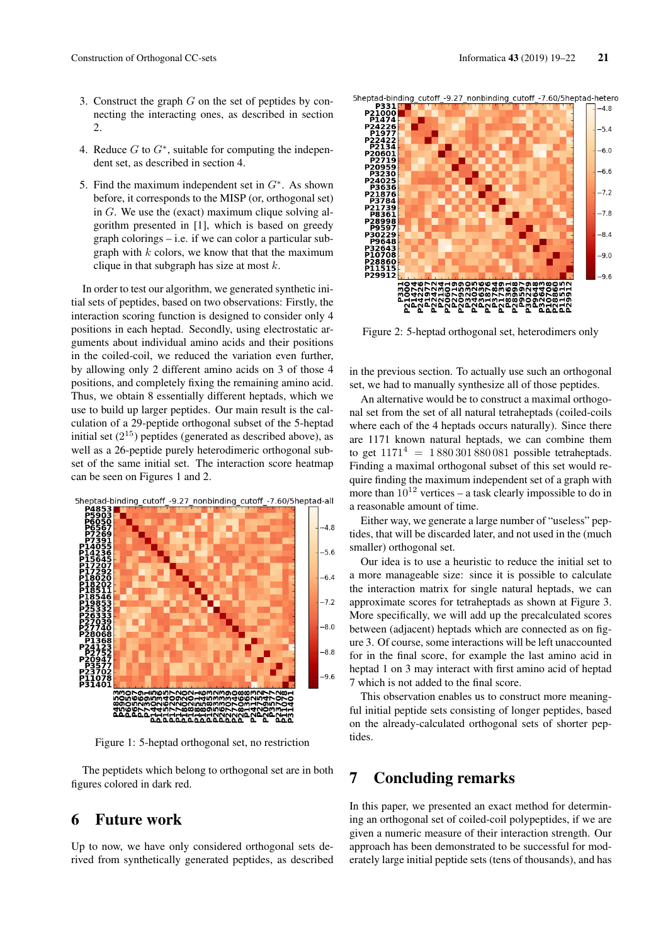$-9.0$ 

 $-9.6$ 

- 3. Construct the graph  $G$  on the set of peptides by connecting the interacting ones, as described in section 2.
- 4. Reduce  $G$  to  $G^*$ , suitable for computing the independent set, as described in section 4.
- 5. Find the maximum independent set in  $G^*$ . As shown before, it corresponds to the MISP (or, orthogonal set) in G. We use the (exact) maximum clique solving algorithm presented in [1], which is based on greedy graph colorings – i.e. if we can color a particular subgraph with  $k$  colors, we know that that the maximum clique in that subgraph has size at most  $k$ .

In order to test our algorithm, we generated synthetic initial sets of peptides, based on two observations: Firstly, the interaction scoring function is designed to consider only 4 positions in each heptad. Secondly, using electrostatic arguments about individual amino acids and their positions in the coiled-coil, we reduced the variation even further, by allowing only 2 different amino acids on 3 of those 4 positions, and completely fixing the remaining amino acid. Thus, we obtain 8 essentially different heptads, which we use to build up larger peptides. Our main result is the calculation of a 29-peptide orthogonal subset of the 5-heptad initial set  $(2^{15})$  peptides (generated as described above), as well as a 26-peptide purely heterodimeric orthogonal subset of the same initial set. The interaction score heatmap can be seen on Figures 1 and 2.



Figure 1: 5-heptad orthogonal set, no restriction

The peptidets which belong to orthogonal set are in both figures colored in dark red.

## 6 Future work

Up to now, we have only considered orthogonal sets derived from synthetically generated peptides, as described



Figure 2: 5-heptad orthogonal set, heterodimers only

កំរករ

**P29912** 

in the previous section. To actually use such an orthogonal set, we had to manually synthesize all of those peptides.

An alternative would be to construct a maximal orthogonal set from the set of all natural tetraheptads (coiled-coils where each of the 4 heptads occurs naturally). Since there are 1171 known natural heptads, we can combine them to get  $1171^4 = 1880301880081$  possible tetraheptads. Finding a maximal orthogonal subset of this set would require finding the maximum independent set of a graph with more than  $10^{12}$  vertices – a task clearly impossible to do in a reasonable amount of time.

Either way, we generate a large number of "useless" peptides, that will be discarded later, and not used in the (much smaller) orthogonal set.

Our idea is to use a heuristic to reduce the initial set to a more manageable size: since it is possible to calculate the interaction matrix for single natural heptads, we can approximate scores for tetraheptads as shown at Figure 3. More specifically, we will add up the precalculated scores between (adjacent) heptads which are connected as on figure 3. Of course, some interactions will be left unaccounted for in the final score, for example the last amino acid in heptad 1 on 3 may interact with first amino acid of heptad 7 which is not added to the final score.

This observation enables us to construct more meaningful initial peptide sets consisting of longer peptides, based on the already-calculated orthogonal sets of shorter peptides.

## 7 Concluding remarks

In this paper, we presented an exact method for determining an orthogonal set of coiled-coil polypeptides, if we are given a numeric measure of their interaction strength. Our approach has been demonstrated to be successful for moderately large initial peptide sets (tens of thousands), and has